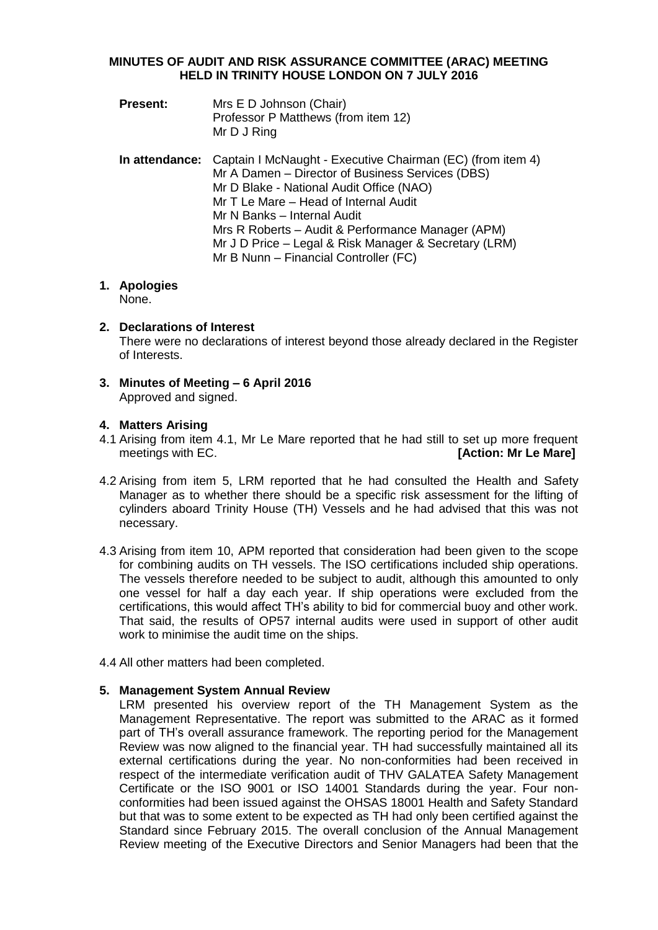## **MINUTES OF AUDIT AND RISK ASSURANCE COMMITTEE (ARAC) MEETING HELD IN TRINITY HOUSE LONDON ON 7 JULY 2016**

- **Present:** Mrs E D Johnson (Chair) Professor P Matthews (from item 12) Mr D J Ring
- **In attendance:** Captain I McNaught Executive Chairman (EC) (from item 4) Mr A Damen – Director of Business Services (DBS) Mr D Blake - National Audit Office (NAO) Mr T Le Mare – Head of Internal Audit Mr N Banks – Internal Audit Mrs R Roberts – Audit & Performance Manager (APM) Mr J D Price – Legal & Risk Manager & Secretary (LRM) Mr B Nunn – Financial Controller (FC)

# **1. Apologies**

None.

- **2. Declarations of Interest** There were no declarations of interest beyond those already declared in the Register of Interests.
- **3. Minutes of Meeting – 6 April 2016** Approved and signed.

# **4. Matters Arising**

- 4.1 Arising from item 4.1, Mr Le Mare reported that he had still to set up more frequent meetings with EC. *I CON CON CON CON CON CON CON CON CON CON CON CON CON CON CON CON CON CON CON CON CON CON CON CON CON*
- 4.2 Arising from item 5, LRM reported that he had consulted the Health and Safety Manager as to whether there should be a specific risk assessment for the lifting of cylinders aboard Trinity House (TH) Vessels and he had advised that this was not necessary.
- 4.3 Arising from item 10, APM reported that consideration had been given to the scope for combining audits on TH vessels. The ISO certifications included ship operations. The vessels therefore needed to be subject to audit, although this amounted to only one vessel for half a day each year. If ship operations were excluded from the certifications, this would affect TH's ability to bid for commercial buoy and other work. That said, the results of OP57 internal audits were used in support of other audit work to minimise the audit time on the ships.
- 4.4 All other matters had been completed.

# **5. Management System Annual Review**

LRM presented his overview report of the TH Management System as the Management Representative. The report was submitted to the ARAC as it formed part of TH's overall assurance framework. The reporting period for the Management Review was now aligned to the financial year. TH had successfully maintained all its external certifications during the year. No non-conformities had been received in respect of the intermediate verification audit of THV GALATEA Safety Management Certificate or the ISO 9001 or ISO 14001 Standards during the year. Four nonconformities had been issued against the OHSAS 18001 Health and Safety Standard but that was to some extent to be expected as TH had only been certified against the Standard since February 2015. The overall conclusion of the Annual Management Review meeting of the Executive Directors and Senior Managers had been that the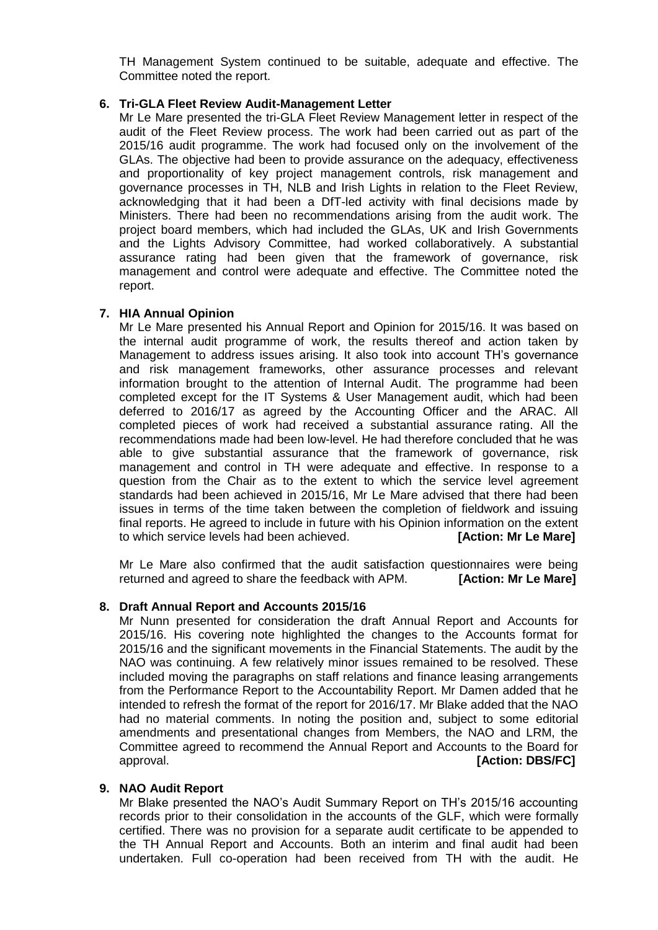TH Management System continued to be suitable, adequate and effective. The Committee noted the report.

#### **6. Tri-GLA Fleet Review Audit-Management Letter**

Mr Le Mare presented the tri-GLA Fleet Review Management letter in respect of the audit of the Fleet Review process. The work had been carried out as part of the 2015/16 audit programme. The work had focused only on the involvement of the GLAs. The objective had been to provide assurance on the adequacy, effectiveness and proportionality of key project management controls, risk management and governance processes in TH, NLB and Irish Lights in relation to the Fleet Review, acknowledging that it had been a DfT-led activity with final decisions made by Ministers. There had been no recommendations arising from the audit work. The project board members, which had included the GLAs, UK and Irish Governments and the Lights Advisory Committee, had worked collaboratively. A substantial assurance rating had been given that the framework of governance, risk management and control were adequate and effective. The Committee noted the report.

## **7. HIA Annual Opinion**

Mr Le Mare presented his Annual Report and Opinion for 2015/16. It was based on the internal audit programme of work, the results thereof and action taken by Management to address issues arising. It also took into account TH's governance and risk management frameworks, other assurance processes and relevant information brought to the attention of Internal Audit. The programme had been completed except for the IT Systems & User Management audit, which had been deferred to 2016/17 as agreed by the Accounting Officer and the ARAC. All completed pieces of work had received a substantial assurance rating. All the recommendations made had been low-level. He had therefore concluded that he was able to give substantial assurance that the framework of governance, risk management and control in TH were adequate and effective. In response to a question from the Chair as to the extent to which the service level agreement standards had been achieved in 2015/16, Mr Le Mare advised that there had been issues in terms of the time taken between the completion of fieldwork and issuing final reports. He agreed to include in future with his Opinion information on the extent to which service levels had been achieved. **[Action: Mr Le Mare]**

Mr Le Mare also confirmed that the audit satisfaction questionnaires were being returned and agreed to share the feedback with APM. **[Action: Mr Le Mare]**

# **8. Draft Annual Report and Accounts 2015/16**

Mr Nunn presented for consideration the draft Annual Report and Accounts for 2015/16. His covering note highlighted the changes to the Accounts format for 2015/16 and the significant movements in the Financial Statements. The audit by the NAO was continuing. A few relatively minor issues remained to be resolved. These included moving the paragraphs on staff relations and finance leasing arrangements from the Performance Report to the Accountability Report. Mr Damen added that he intended to refresh the format of the report for 2016/17. Mr Blake added that the NAO had no material comments. In noting the position and, subject to some editorial amendments and presentational changes from Members, the NAO and LRM, the Committee agreed to recommend the Annual Report and Accounts to the Board for approval. **[Action: DBS/FC]** 

#### **9. NAO Audit Report**

Mr Blake presented the NAO's Audit Summary Report on TH's 2015/16 accounting records prior to their consolidation in the accounts of the GLF, which were formally certified. There was no provision for a separate audit certificate to be appended to the TH Annual Report and Accounts. Both an interim and final audit had been undertaken. Full co-operation had been received from TH with the audit. He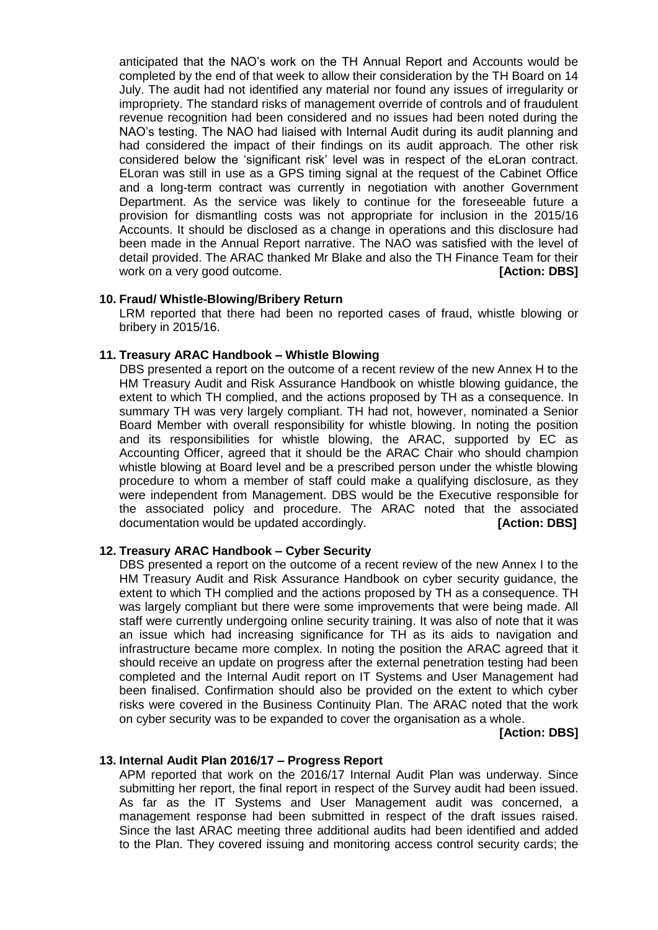anticipated that the NAO's work on the TH Annual Report and Accounts would be completed by the end of that week to allow their consideration by the TH Board on 14 July. The audit had not identified any material nor found any issues of irregularity or impropriety. The standard risks of management override of controls and of fraudulent revenue recognition had been considered and no issues had been noted during the NAO's testing. The NAO had liaised with Internal Audit during its audit planning and had considered the impact of their findings on its audit approach. The other risk considered below the 'significant risk' level was in respect of the eLoran contract. ELoran was still in use as a GPS timing signal at the request of the Cabinet Office and a long-term contract was currently in negotiation with another Government Department. As the service was likely to continue for the foreseeable future a provision for dismantling costs was not appropriate for inclusion in the 2015/16 Accounts. It should be disclosed as a change in operations and this disclosure had been made in the Annual Report narrative. The NAO was satisfied with the level of detail provided. The ARAC thanked Mr Blake and also the TH Finance Team for their work on a very good outcome. *CON* **EXECUTE: [Action: DBS]** 

## **10. Fraud/ Whistle-Blowing/Bribery Return**

LRM reported that there had been no reported cases of fraud, whistle blowing or bribery in 2015/16.

## **11. Treasury ARAC Handbook – Whistle Blowing**

DBS presented a report on the outcome of a recent review of the new Annex H to the HM Treasury Audit and Risk Assurance Handbook on whistle blowing guidance, the extent to which TH complied, and the actions proposed by TH as a consequence. In summary TH was very largely compliant. TH had not, however, nominated a Senior Board Member with overall responsibility for whistle blowing. In noting the position and its responsibilities for whistle blowing, the ARAC, supported by EC as Accounting Officer, agreed that it should be the ARAC Chair who should champion whistle blowing at Board level and be a prescribed person under the whistle blowing procedure to whom a member of staff could make a qualifying disclosure, as they were independent from Management. DBS would be the Executive responsible for the associated policy and procedure. The ARAC noted that the associated documentation would be updated accordingly. **[Action: DBS]**

# **12. Treasury ARAC Handbook – Cyber Security**

DBS presented a report on the outcome of a recent review of the new Annex I to the HM Treasury Audit and Risk Assurance Handbook on cyber security guidance, the extent to which TH complied and the actions proposed by TH as a consequence. TH was largely compliant but there were some improvements that were being made. All staff were currently undergoing online security training. It was also of note that it was an issue which had increasing significance for TH as its aids to navigation and infrastructure became more complex. In noting the position the ARAC agreed that it should receive an update on progress after the external penetration testing had been completed and the Internal Audit report on IT Systems and User Management had been finalised. Confirmation should also be provided on the extent to which cyber risks were covered in the Business Continuity Plan. The ARAC noted that the work on cyber security was to be expanded to cover the organisation as a whole.

 **[Action: DBS]**

#### **13. Internal Audit Plan 2016/17 – Progress Report**

APM reported that work on the 2016/17 Internal Audit Plan was underway. Since submitting her report, the final report in respect of the Survey audit had been issued. As far as the IT Systems and User Management audit was concerned, a management response had been submitted in respect of the draft issues raised. Since the last ARAC meeting three additional audits had been identified and added to the Plan. They covered issuing and monitoring access control security cards; the